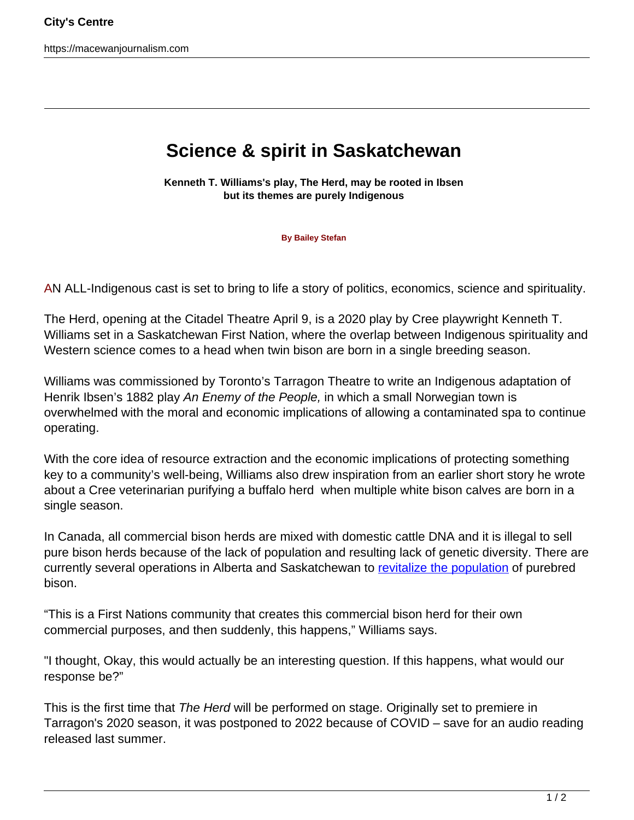https://macewanjournalism.com

## **Science & spirit in Saskatchewan**

**Kenneth T. Williams's play, The Herd, may be rooted in Ibsen but its themes are purely Indigenous**

**By Bailey Stefan**

AN ALL-Indigenous cast is set to bring to life a story of politics, economics, science and spirituality.

The Herd, opening at the Citadel Theatre April 9, is a 2020 play by Cree playwright Kenneth T. Williams set in a Saskatchewan First Nation, where the overlap between Indigenous spirituality and Western science comes to a head when twin bison are born in a single breeding season.

Williams was commissioned by Toronto's Tarragon Theatre to write an Indigenous adaptation of Henrik Ibsen's 1882 play An Enemy of the People, in which a small Norwegian town is overwhelmed with the moral and economic implications of allowing a contaminated spa to continue operating.

With the core idea of resource extraction and the economic implications of protecting something key to a community's well-being, Williams also drew inspiration from an earlier short story he wrote about a Cree veterinarian purifying a buffalo herd when multiple white bison calves are born in a single season.

In Canada, all commercial bison herds are mixed with domestic cattle DNA and it is illegal to sell pure bison herds because of the lack of population and resulting lack of genetic diversity. There are currently several operations in Alberta and Saskatchewan to [revitalize the population](https://www.theglobeandmail.com/canada/alberta/article-scientists-and-indigenous-leaders-team-up-on-project-to-revive/) of purebred bison.

"This is a First Nations community that creates this commercial bison herd for their own commercial purposes, and then suddenly, this happens," Williams says.

"I thought, Okay, this would actually be an interesting question. If this happens, what would our response be?"

This is the first time that The Herd will be performed on stage. Originally set to premiere in Tarragon's 2020 season, it was postponed to 2022 because of COVID – save for an audio reading released last summer.